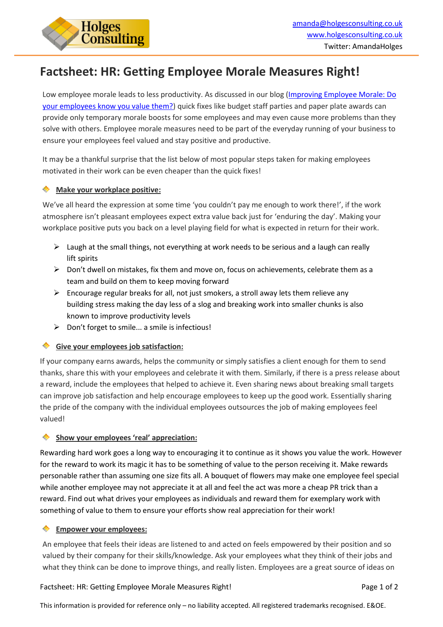

# **Factsheet: HR: Getting Employee Morale Measures Right!**

Low employee morale leads to less productivity. As discussed in our blog [\(Improving Employee Morale: Do](http://hub.holgesconsulting.co.uk/blog-0/bid/217979/Improving-Employee-Morale-Do-your-employees-know-you-value-them) [your employees know you value them?\)](http://hub.holgesconsulting.co.uk/blog-0/bid/217979/Improving-Employee-Morale-Do-your-employees-know-you-value-them) quick fixes like budget staff parties and paper plate awards can provide only temporary morale boosts for some employees and may even cause more problems than they solve with others. Employee morale measures need to be part of the everyday running of your business to ensure your employees feel valued and stay positive and productive.

It may be a thankful surprise that the list below of most popular steps taken for making employees motivated in their work can be even cheaper than the quick fixes!

#### ۰ **Make your workplace positive:**

We've all heard the expression at some time 'you couldn't pay me enough to work there!', if the work atmosphere isn't pleasant employees expect extra value back just for 'enduring the day'. Making your workplace positive puts you back on a level playing field for what is expected in return for their work.

- $\triangleright$  Laugh at the small things, not everything at work needs to be serious and a laugh can really lift spirits
- $\triangleright$  Don't dwell on mistakes, fix them and move on, focus on achievements, celebrate them as a team and build on them to keep moving forward
- $\triangleright$  Encourage regular breaks for all, not just smokers, a stroll away lets them relieve any building stress making the day less of a slog and breaking work into smaller chunks is also known to improve productivity levels
- $\triangleright$  Don't forget to smile... a smile is infectious!

# **Give your employees job satisfaction:**

If your company earns awards, helps the community or simply satisfies a client enough for them to send thanks, share this with your employees and celebrate it with them. Similarly, if there is a press release about a reward, include the employees that helped to achieve it. Even sharing news about breaking small targets can improve job satisfaction and help encourage employees to keep up the good work. Essentially sharing the pride of the company with the individual employees outsources the job of making employees feel valued!

#### **Show your employees 'real' appreciation:**

Rewarding hard work goes a long way to encouraging it to continue as it shows you value the work. However for the reward to work its magic it has to be something of value to the person receiving it. Make rewards personable rather than assuming one size fits all. A bouquet of flowers may make one employee feel special while another employee may not appreciate it at all and feel the act was more a cheap PR trick than a reward. Find out what drives your employees as individuals and reward them for exemplary work with something of value to them to ensure your efforts show real appreciation for their work!

## **Empower your employees:**

An employee that feels their ideas are listened to and acted on feels empowered by their position and so valued by their company for their skills/knowledge. Ask your employees what they think of their jobs and what they think can be done to improve things, and really listen. Employees are a great source of ideas on

## Factsheet: HR: Getting Employee Morale Measures Right! Page 1 of 2

This information is provided for reference only – no liability accepted. All registered trademarks recognised. E&OE.